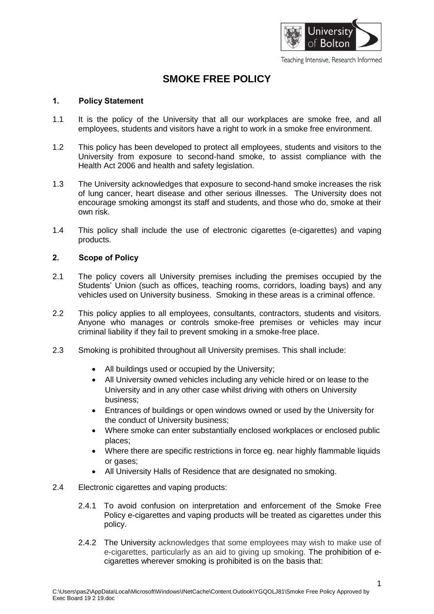

# **SMOKE FREE POLICY**

### **1. Policy Statement**

- 1.1 It is the policy of the University that all our workplaces are smoke free, and all employees, students and visitors have a right to work in a smoke free environment.
- 1.2 This policy has been developed to protect all employees, students and visitors to the University from exposure to second-hand smoke, to assist compliance with the Health Act 2006 and health and safety legislation.
- 1.3 The University acknowledges that exposure to second-hand smoke increases the risk of lung cancer, heart disease and other serious illnesses. The University does not encourage smoking amongst its staff and students, and those who do, smoke at their own risk.
- 1.4 This policy shall include the use of electronic cigarettes (e-cigarettes) and vaping products.

#### **2. Scope of Policy**

- 2.1 The policy covers all University premises including the premises occupied by the Students' Union (such as offices, teaching rooms, corridors, loading bays) and any vehicles used on University business. Smoking in these areas is a criminal offence.
- 2.2 This policy applies to all employees, consultants, contractors, students and visitors. Anyone who manages or controls smoke-free premises or vehicles may incur criminal liability if they fail to prevent smoking in a smoke-free place.
- 2.3 Smoking is prohibited throughout all University premises. This shall include:
	- All buildings used or occupied by the University;
	- All University owned vehicles including any vehicle hired or on lease to the University and in any other case whilst driving with others on University business;
	- Entrances of buildings or open windows owned or used by the University for the conduct of University business;
	- Where smoke can enter substantially enclosed workplaces or enclosed public places;
	- Where there are specific restrictions in force eg. near highly flammable liquids or gases;
	- All University Halls of Residence that are designated no smoking.
- 2.4 Electronic cigarettes and vaping products:
	- 2.4.1 To avoid confusion on interpretation and enforcement of the Smoke Free Policy e-cigarettes and vaping products will be treated as cigarettes under this policy.
	- 2.4.2 The University acknowledges that some employees may wish to make use of e-cigarettes, particularly as an aid to giving up smoking. The prohibition of ecigarettes wherever smoking is prohibited is on the basis that: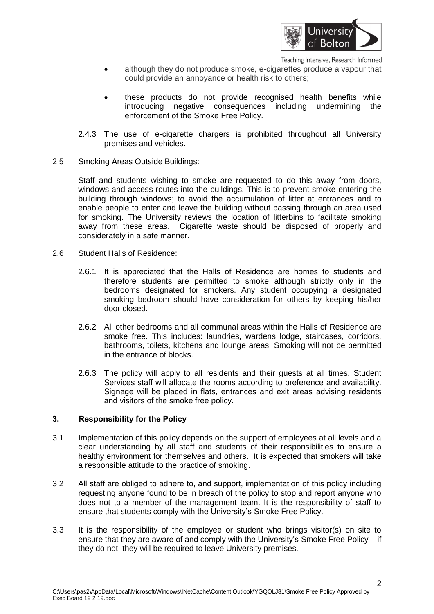

Teaching Intensive, Research Informed

- although they do not produce smoke, e-cigarettes produce a vapour that could provide an annoyance or health risk to others;
- these products do not provide recognised health benefits while introducing negative consequences including undermining the enforcement of the Smoke Free Policy.
- 2.4.3 The use of e-cigarette chargers is prohibited throughout all University premises and vehicles.
- 2.5 Smoking Areas Outside Buildings:

Staff and students wishing to smoke are requested to do this away from doors, windows and access routes into the buildings. This is to prevent smoke entering the building through windows; to avoid the accumulation of litter at entrances and to enable people to enter and leave the building without passing through an area used for smoking. The University reviews the location of litterbins to facilitate smoking away from these areas. Cigarette waste should be disposed of properly and considerately in a safe manner.

- 2.6 Student Halls of Residence:
	- 2.6.1 It is appreciated that the Halls of Residence are homes to students and therefore students are permitted to smoke although strictly only in the bedrooms designated for smokers. Any student occupying a designated smoking bedroom should have consideration for others by keeping his/her door closed.
	- 2.6.2 All other bedrooms and all communal areas within the Halls of Residence are smoke free. This includes: laundries, wardens lodge, staircases, corridors, bathrooms, toilets, kitchens and lounge areas. Smoking will not be permitted in the entrance of blocks.
	- 2.6.3 The policy will apply to all residents and their guests at all times. Student Services staff will allocate the rooms according to preference and availability. Signage will be placed in flats, entrances and exit areas advising residents and visitors of the smoke free policy.

## **3. Responsibility for the Policy**

- 3.1 Implementation of this policy depends on the support of employees at all levels and a clear understanding by all staff and students of their responsibilities to ensure a healthy environment for themselves and others. It is expected that smokers will take a responsible attitude to the practice of smoking.
- 3.2 All staff are obliged to adhere to, and support, implementation of this policy including requesting anyone found to be in breach of the policy to stop and report anyone who does not to a member of the management team. It is the responsibility of staff to ensure that students comply with the University's Smoke Free Policy.
- 3.3 It is the responsibility of the employee or student who brings visitor(s) on site to ensure that they are aware of and comply with the University's Smoke Free Policy – if they do not, they will be required to leave University premises.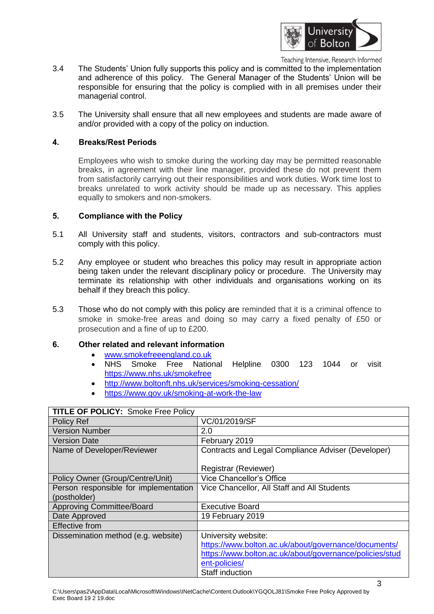

Teaching Intensive, Research Informed

- 3.4 The Students' Union fully supports this policy and is committed to the implementation and adherence of this policy. The General Manager of the Students' Union will be responsible for ensuring that the policy is complied with in all premises under their managerial control.
- 3.5 The University shall ensure that all new employees and students are made aware of and/or provided with a copy of the policy on induction.

#### **4. Breaks/Rest Periods**

Employees who wish to smoke during the working day may be permitted reasonable breaks, in agreement with their line manager, provided these do not prevent them from satisfactorily carrying out their responsibilities and work duties. Work time lost to breaks unrelated to work activity should be made up as necessary. This applies equally to smokers and non-smokers.

#### **5. Compliance with the Policy**

- 5.1 All University staff and students, visitors, contractors and sub-contractors must comply with this policy.
- 5.2 Any employee or student who breaches this policy may result in appropriate action being taken under the relevant disciplinary policy or procedure. The University may terminate its relationship with other individuals and organisations working on its behalf if they breach this policy.
- 5.3 Those who do not comply with this policy are reminded that it is a criminal offence to smoke in smoke-free areas and doing so may carry a fixed penalty of £50 or prosecution and a fine of up to £200.

## **6. Other related and relevant information**

- [www.smokefreeengland.co.uk](http://www.smokefreeengland.co.uk/)
- NHS Smoke Free National Helpline 0300 123 1044 or visit <https://www.nhs.uk/smokefree>
- <http://www.boltonft.nhs.uk/services/smoking-cessation/>
- <https://www.gov.uk/smoking-at-work-the-law>

| <b>ITTLE OF FULICI.</b> SITIONE FIEE FUILLY |                                                         |
|---------------------------------------------|---------------------------------------------------------|
| Policy Ref                                  | VC/01/2019/SF                                           |
| <b>Version Number</b>                       | 2.0                                                     |
| <b>Version Date</b>                         | February 2019                                           |
| Name of Developer/Reviewer                  | Contracts and Legal Compliance Adviser (Developer)      |
|                                             |                                                         |
|                                             | Registrar (Reviewer)                                    |
| Policy Owner (Group/Centre/Unit)            | Vice Chancellor's Office                                |
| Person responsible for implementation       | Vice Chancellor, All Staff and All Students             |
| (postholder)                                |                                                         |
| <b>Approving Committee/Board</b>            | <b>Executive Board</b>                                  |
| Date Approved                               | 19 February 2019                                        |
| <b>Effective from</b>                       |                                                         |
| Dissemination method (e.g. website)         | University website:                                     |
|                                             | https://www.bolton.ac.uk/about/governance/documents/    |
|                                             | https://www.bolton.ac.uk/about/governance/policies/stud |
|                                             | ent-policies/                                           |
|                                             | Staff induction                                         |

## **TITLE OF POLICY:** Smoke Free Policy